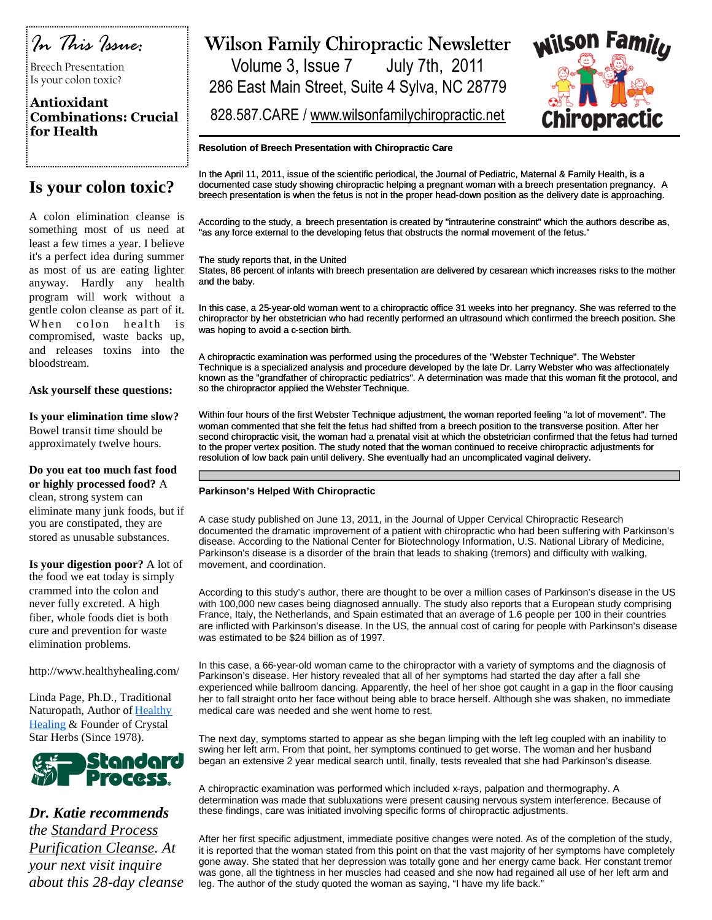

Breech Presentation Is your colon toxic?

### **Antioxidant Combinations: Crucial for Health**

### **Is your colon toxic?**

A colon elimination cleanse is something most of us need at least a few times a year. I believe it's a perfect idea during summer as most of us are eating lighter anyway. Hardly any health program will work without a gentle colon cleanse as part of it. When colon health is compromised, waste backs up, and releases toxins into the bloodstream.

### **Ask yourself these questions:**

**Is your elimination time slow?** Bowel transit time should be approximately twelve hours.

**Do you eat too much fast food or highly processed food?** A clean, strong system can eliminate many junk foods, but if you are constipated, they are stored as unusable substances.

**Is your digestion poor?** A lot of the food we eat today is simply crammed into the colon and never fully excreted. A high fiber, whole foods diet is both cure and prevention for waste elimination problems.

http://www.healthyhealing.com/

Linda Page, Ph.D., Traditional Naturopath, Author of Healthy Healing & Founder of Crystal Star Herbs (Since 1978).



*Dr. Katie recommends the Standard Process Purification Cleanse. At your next visit inquire about this 28-day cleanse*

## Wilson Family Chiropractic Newsletter

Volume 3, Issue 7 July 7th, 2011 286 East Main Street, Suite 4 Sylva, NC 28779

828.587.CARE / www.wilsonfamilychiropractic.net



### **Resolution of Breech Presentation with Chiropractic Care**

In the April 11, 2011, issue of the scientific periodical, the Journal of Pediatric, Maternal & Family Health, is a documented case study showing chiropractic helping a pregnant woman with a breech presentation pregnancy. A breech presentation is when the fetus is not in the proper head-down position as the delivery date is approaching.

According to the study, a breech presentation is created by "intrauterine constraint" which the authors describe as, "as any force external to the developing fetus that obstructs the normal movement of the fetus."

The study reports that, in the United

States, 86 percent of infants with breech presentation are delivered by cesarean which increases risks to the mother and the baby.

In this case, a 25-year-old woman went to a chiropractic office 31 weeks into her pregnancy. She was referred to the chiropractor by her obstetrician who had recently performed an ultrasound which confirmed the breech position. She was hoping to avoid a c-section birth.

A chiropractic examination was performed using the procedures of the "Webster Technique". The Webster Technique is a specialized analysis and procedure developed by the late Dr. Larry Webster who was affectionately known as the "grandfather of chiropractic pediatrics". A determination was made that this woman fit the protocol, and so the chiropractor applied the Webster Technique.

Within four hours of the first Webster Technique adjustment, the woman reported feeling "a lot of movement". The woman commented that she felt the fetus had shifted from a breech position to the transverse position. After her second chiropractic visit, the woman had a prenatal visit at which the obstetrician confirmed that the fetus had turned to the proper vertex position. The study noted that the woman continued to receive chiropractic adjustments for resolution of low back pain until delivery. She eventually had an uncomplicated vaginal delivery.

#### **Parkinson's Helped With Chiropractic**

A case study published on June 13, 2011, in the Journal of Upper Cervical Chiropractic Research documented the dramatic improvement of a patient with chiropractic who had been suffering with Parkinson's disease. According to the National Center for Biotechnology Information, U.S. National Library of Medicine, Parkinson's disease is a disorder of the brain that leads to shaking (tremors) and difficulty with walking, movement, and coordination.

According to this study's author, there are thought to be over a million cases of Parkinson's disease in the US with 100,000 new cases being diagnosed annually. The study also reports that a European study comprising France, Italy, the Netherlands, and Spain estimated that an average of 1.6 people per 100 in their countries are inflicted with Parkinson's disease. In the US, the annual cost of caring for people with Parkinson's disease was estimated to be \$24 billion as of 1997.

In this case, a 66-year-old woman came to the chiropractor with a variety of symptoms and the diagnosis of Parkinson's disease. Her history revealed that all of her symptoms had started the day after a fall she experienced while ballroom dancing. Apparently, the heel of her shoe got caught in a gap in the floor causing her to fall straight onto her face without being able to brace herself. Although she was shaken, no immediate medical care was needed and she went home to rest.

The next day, symptoms started to appear as she began limping with the left leg coupled with an inability to swing her left arm. From that point, her symptoms continued to get worse. The woman and her husband began an extensive 2 year medical search until, finally, tests revealed that she had Parkinson's disease.

A chiropractic examination was performed which included x-rays, palpation and thermography. A determination was made that subluxations were present causing nervous system interference. Because of these findings, care was initiated involving specific forms of chiropractic adjustments.

After her first specific adjustment, immediate positive changes were noted. As of the completion of the study, it is reported that the woman stated from this point on that the vast majority of her symptoms have completely gone away. She stated that her depression was totally gone and her energy came back. Her constant tremor was gone, all the tightness in her muscles had ceased and she now had regained all use of her left arm and leg. The author of the study quoted the woman as saying, "I have my life back."